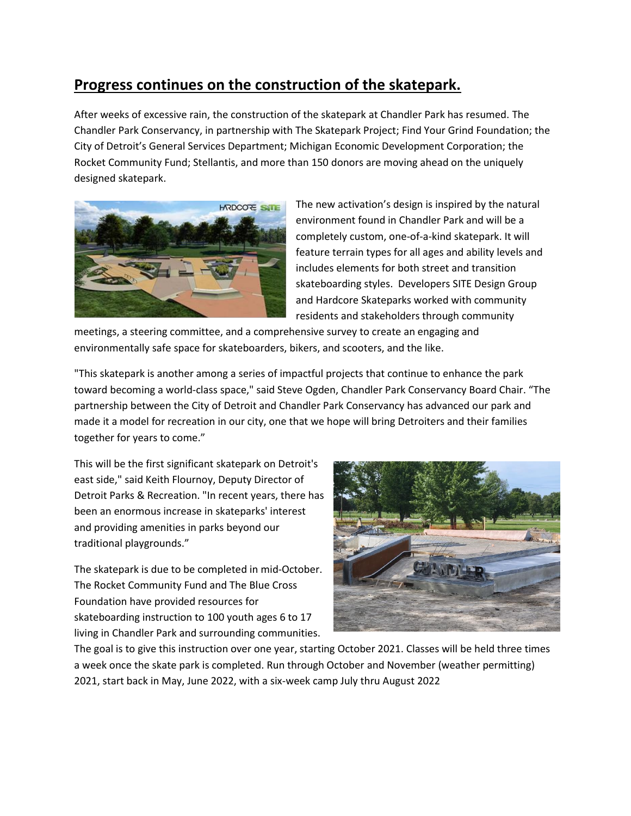## **Progress continues on the construction of the skatepark.**

After weeks of excessive rain, the construction of the skatepark at Chandler Park has resumed. The Chandler Park Conservancy, in partnership with The Skatepark Project; Find Your Grind Foundation; the City of Detroit's General Services Department; Michigan Economic Development Corporation; the Rocket Community Fund; Stellantis, and more than 150 donors are moving ahead on the uniquely designed skatepark.



The new activation's design is inspired by the natural environment found in Chandler Park and will be a completely custom, one-of-a-kind skatepark. It will feature terrain types for all ages and ability levels and includes elements for both street and transition skateboarding styles. Developers SITE Design Group and Hardcore Skateparks worked with community residents and stakeholders through community

meetings, a steering committee, and a comprehensive survey to create an engaging and environmentally safe space for skateboarders, bikers, and scooters, and the like.

"This skatepark is another among a series of impactful projects that continue to enhance the park toward becoming a world-class space," said Steve Ogden, Chandler Park Conservancy Board Chair. "The partnership between the City of Detroit and Chandler Park Conservancy has advanced our park and made it a model for recreation in our city, one that we hope will bring Detroiters and their families together for years to come."

This will be the first significant skatepark on Detroit's east side," said Keith Flournoy, Deputy Director of Detroit Parks & Recreation. "In recent years, there has been an enormous increase in skateparks' interest and providing amenities in parks beyond our traditional playgrounds."

The skatepark is due to be completed in mid-October. The Rocket Community Fund and The Blue Cross Foundation have provided resources for skateboarding instruction to 100 youth ages 6 to 17 living in Chandler Park and surrounding communities.



The goal is to give this instruction over one year, starting October 2021. Classes will be held three times a week once the skate park is completed. Run through October and November (weather permitting) 2021, start back in May, June 2022, with a six-week camp July thru August 2022